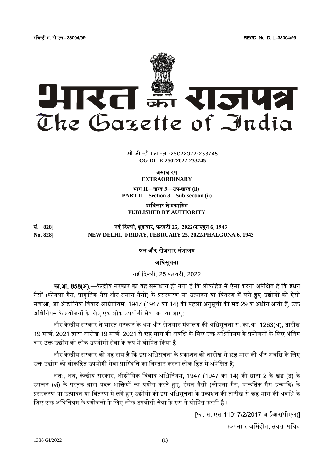रजजस्ट्री सं. डी.एल.- 33004/99 REGD. No. D. L.-33004/99



 $\overline{\phantom{a}}$   $\overline{\phantom{a}}$   $\overline{\phantom{a}}$   $\overline{\phantom{a}}$   $\overline{\phantom{a}}$   $\overline{\phantom{a}}$   $\overline{\phantom{a}}$   $\overline{\phantom{a}}$   $\overline{\phantom{a}}$   $\overline{\phantom{a}}$   $\overline{\phantom{a}}$   $\overline{\phantom{a}}$   $\overline{\phantom{a}}$   $\overline{\phantom{a}}$   $\overline{\phantom{a}}$   $\overline{\phantom{a}}$   $\overline{\phantom{a}}$   $\overline{\phantom{a}}$   $\overline{\$ **xxx**GIDE**xxx** सी.जी.-डी.एल.-अ.-25022022-233745 सी.जी.-डी.एल.-अ.-25022022-233745**CG-DL-E-25022022-233745**

ऄसाधारण

**EXTRAORDINARY**

भाग II—खण्ड 3—उप-खण्ड (ii) **PART II—Section 3—Sub-section (ii)**

प्राजधकार से प्रकाजित **PUBLISHED BY AUTHORITY**

| सं. 828] | नई दिल्ली, शुक्रवार, फरवरी 25,  2022/फाल्गुन 6, 1943  |
|----------|-------------------------------------------------------|
| No. 8281 | NEW DELHI, FRIDAY, FEBRUARY 25, 2022/PHALGUNA 6, 1943 |

## श्रम और रोजगार मंत्रालय

अधिसचना

नइ ददल्ली, 25 फरवरी, 2022

**का.आ. 858(अ).**—केन्द्रीय सरकार का यह समाधान हो गया है कि लोकहित में ऐसा करना अपेक्षित है कि ईंधन गैसों (कोयला गैस, प्राकृतिक गैस और समान गैसों) के प्रसंस्करण या उत्पादन या वितरण में लगे हुए उद्योगों की ऐसी सेवाओं, जो औद्योगिक विवाद अधिनियम, 1947 (1947 का 14) की पहली अनुसूची की मद 29 के अधीन आती हैं, उक्त अधिनियम के प्रयोजनों के लिए एक लोक उपयोगी सेवा बनाया जाए;

और केन्द्रीय सरकार ने भारत सरकार के श्रम और रोजगार मंत्रालय की अधिसूचना सं. का.आ. 1263(अ), तारीख 19 मार्च, 2021 द्वारा तारीख 19 मार्च, 2021 से छह मास की अवधि के लिए उक्त अधिनियम के प्रयोजनों के लिए अंतिम बार उक्त उद्योग को लोक उपयोगी सेवा के रूप में घोषित किया है:

और केन्द्रीय सरकार की यह राय है कि इस अधिसूचना के प्रकाशन की तारीख से छह मास की और अवधि के लिए उक्त उद्योग को लोकहित उपयोगी सेवा प्रास्थिति का विस्तार करना लोक हित में अपेक्षित है;

अतः, अब, केन्द्रीय सरकार, औद्योगिक विवाद अधिनियम, 1947 (1947 का 14) की धारा 2 के खंड (ढ) के उपखंड (vi) के परंतुक द्वारा प्रदत्त शक्तियों का प्रयोग करते हुए, ईधन गैसों (कोयला गैस, प्राकृतिक गैस इत्यादि) के प्रसंस्करण या उत्पादन या वितरण में लगे हुए उद्योगों को इस अधिसूचना के प्रकाशन की तारीख से छह मास की अवधि के लिए उक्त अधिनियम के प्रयोजनों के लिए लोक उपयोगी सेवा के रूप में घोषित करती है ।

[फा. सं. एस-11017/2/2017-अइअर(पीएल)]

कल्पना राजससहोत, संयुक्त सजचव